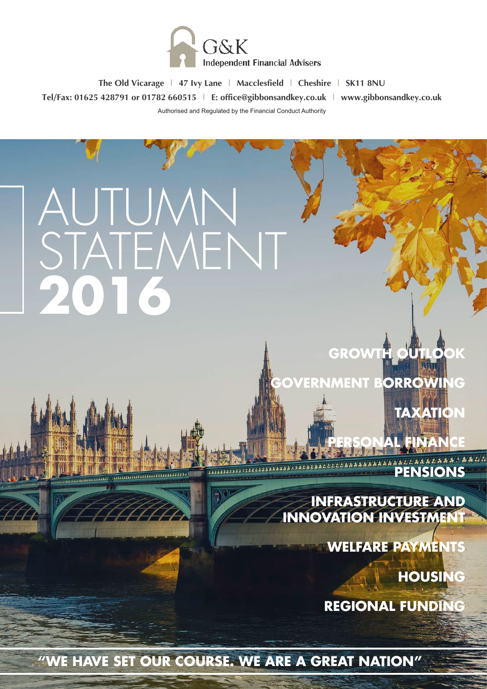

**The Old Vicarage | 47 Ivy Lane | Macclesfield | Cheshire | SK11 8NU Tel/Fax: 01625 428791 or 01782 660515 | E: office@gibbonsandkey.co.uk | www.gibbonsandkey.co.uk** Authorised and Regulated by the Financial Conduct Authority

# AUTUMN STATEMENT **2016**

**Adaptaces** 

**PERSONAL FINANCE XXXXXXXXXXXX PENSIONS** 

**TAXATION** 

**INFRASTRUCTURE AND INNOVATION INVESTMENT**

**GROWTH OU** 

**VERNMENT BORROWING** 

**WELFARE PAYMENTS** 

**HOUSING** 

**REGIONAL FUNDING**

**"WE HAVE SET OUR COURSE. WE ARE A GREAT NATION"**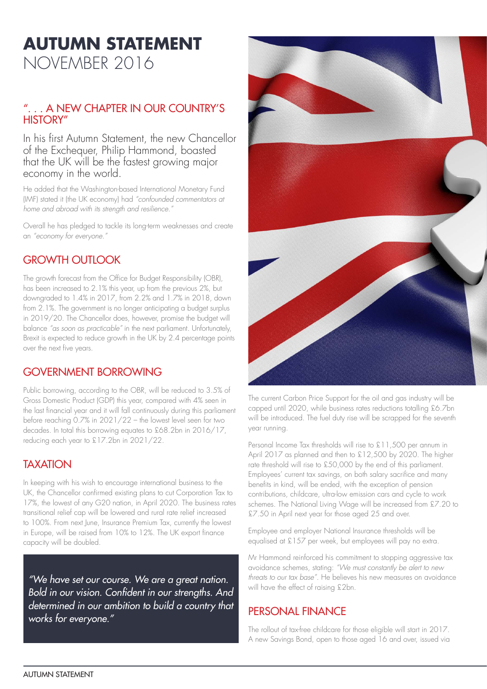# **AUTUMN STATEMENT**  NOVEMBER 2016

#### ". . . A NEW CHAPTER IN OUR COUNTRY'S HISTORY"

In his first Autumn Statement, the new Chancellor of the Exchequer, Philip Hammond, boasted that the UK will be the fastest growing major economy in the world.

He added that the Washington-based International Monetary Fund (IMF) stated it (the UK economy) had *"confounded commentators at home and abroad with its strength and resilience."*

Overall he has pledged to tackle its long-term weaknesses and create an *"economy for everyone."*

## GROWTH OUTLOOK

The growth forecast from the Office for Budget Responsibility (OBR), has been increased to 2.1% this year, up from the previous 2%, but downgraded to 1.4% in 2017, from 2.2% and 1.7% in 2018, down from 2.1%. The government is no longer anticipating a budget surplus in 2019/20. The Chancellor does, however, promise the budget will balance *"as soon as practicable"* in the next parliament. Unfortunately, Brexit is expected to reduce growth in the UK by 2.4 percentage points over the next five years.

#### GOVERNMENT BORROWING

Public borrowing, according to the OBR, will be reduced to 3.5% of Gross Domestic Product (GDP) this year, compared with 4% seen in the last financial year and it will fall continuously during this parliament before reaching 0.7% in 2021/22 – the lowest level seen for two decades. In total this borrowing equates to £68.2bn in 2016/17, reducing each year to £17.2bn in 2021/22.

#### **TAXATION**

In keeping with his wish to encourage international business to the UK, the Chancellor confirmed existing plans to cut Corporation Tax to 17%, the lowest of any G20 nation, in April 2020. The business rates transitional relief cap will be lowered and rural rate relief increased to 100%. From next June, Insurance Premium Tax, currently the lowest in Europe, will be raised from 10% to 12%. The UK export finance capacity will be doubled.

*"We have set our course. We are a great nation.*  Bold in our vision. Confident in our strengths. And *determined in our ambition to build a country that works for everyone."*



The current Carbon Price Support for the oil and gas industry will be capped until 2020, while business rates reductions totalling £6.7bn will be introduced. The fuel duty rise will be scrapped for the seventh year running.

Personal Income Tax thresholds will rise to £11,500 per annum in April 2017 as planned and then to £12,500 by 2020. The higher rate threshold will rise to £50,000 by the end of this parliament. Employees' current tax savings, on both salary sacrifice and many benefits in kind, will be ended, with the exception of pension contributions, childcare, ultra-low emission cars and cycle to work schemes. The National Living Wage will be increased from £7.20 to £7.50 in April next year for those aged 25 and over.

Employee and employer National Insurance thresholds will be equalised at £157 per week, but employees will pay no extra.

Mr Hammond reinforced his commitment to stopping aggressive tax avoidance schemes, stating: *"We must constantly be alert to new threats to our tax base".* He believes his new measures on avoidance will have the effect of raising £2bn.

#### PERSONAL FINANCE

The rollout of tax-free childcare for those eligible will start in 2017. A new Savings Bond, open to those aged 16 and over, issued via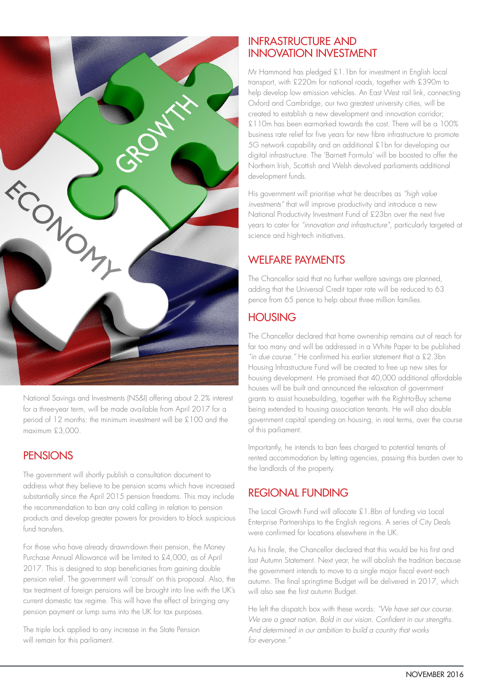

National Savings and Investments (NS&I) offering about 2.2% interest for a three-year term, will be made available from April 2017 for a period of 12 months: the minimum investment will be £100 and the maximum £3,000.

#### **PENSIONS**

The government will shortly publish a consultation document to address what they believe to be pension scams which have increased substantially since the April 2015 pension freedoms. This may include the recommendation to ban any cold calling in relation to pension products and develop greater powers for providers to block suspicious fund transfers.

For those who have already drawn-down their pension, the Money Purchase Annual Allowance will be limited to £4,000, as of April 2017. This is designed to stop beneficiaries from gaining double pension relief. The government will 'consult' on this proposal. Also, the tax treatment of foreign pensions will be brought into line with the UK's current domestic tax regime. This will have the effect of bringing any pension payment or lump sums into the UK for tax purposes.

The triple lock applied to any increase in the State Pension will remain for this parliament.

#### INFRASTRUCTURE AND INNOVATION INVESTMENT

Mr Hammond has pledged £1.1bn for investment in English local transport, with £220m for national roads, together with £390m to help develop low emission vehicles. An East West rail link, connecting Oxford and Cambridge, our two greatest university cities, will be created to establish a new development and innovation corridor; £110m has been earmarked towards the cost. There will be a 100% business rate relief for five years for new fibre infrastructure to promote 5G network capability and an additional £1bn for developing our digital infrastructure. The 'Barnett Formula' will be boosted to offer the Northern Irish, Scottish and Welsh devolved parliaments additional development funds.

His government will prioritise what he describes as *"high value investments"* that will improve productivity and introduce a new National Productivity Investment Fund of £23bn over the next five years to cater for *"innovation and infrastructure"*, particularly targeted at science and high-tech initiatives.

# WELFARE PAYMENTS

The Chancellor said that no further welfare savings are planned, adding that the Universal Credit taper rate will be reduced to 63 pence from 65 pence to help about three million families.

## **HOUSING**

The Chancellor declared that home ownership remains out of reach for far too many and will be addressed in a White Paper to be published *"in due course."* He confirmed his earlier statement that a £2.3bn Housing Infrastructure Fund will be created to free up new sites for housing development. He promised that 40,000 additional affordable houses will be built and announced the relaxation of government grants to assist housebuilding, together with the Right-to-Buy scheme being extended to housing association tenants. He will also double government capital spending on housing, in real terms, over the course of this parliament.

Importantly, he intends to ban fees charged to potential tenants of rented accommodation by letting agencies, passing this burden over to the landlords of the property.

# REGIONAL FUNDING

The Local Growth Fund will allocate £1.8bn of funding via Local Enterprise Partnerships to the English regions. A series of City Deals were confirmed for locations elsewhere in the UK.

As his finale, the Chancellor declared that this would be his first and last Autumn Statement. Next year, he will abolish the tradition because the government intends to move to a single major fiscal event each autumn. The final springtime Budget will be delivered in 2017, which will also see the first autumn Budget.

He left the dispatch box with these words: *"We have set our course.*  We are a great nation. Bold in our vision. Confident in our strengths. *And determined in our ambition to build a country that works for everyone."*